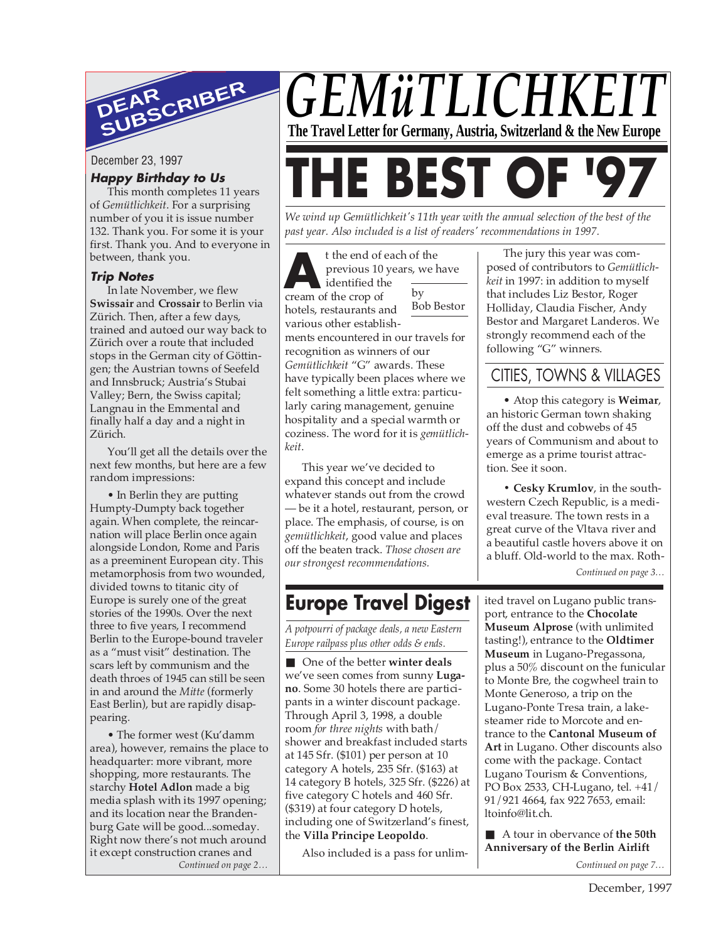

#### **Happy Birthday to Us**

This month completes 11 years of *Gemütlichkeit*. For a surprising number of you it is issue number 132. Thank you. For some it is your first. Thank you. And to everyone in between, thank you.

#### **Trip Notes**

In late November, we flew **Swissair** and **Crossair** to Berlin via Zürich. Then, after a few days, trained and autoed our way back to Zürich over a route that included stops in the German city of Göttingen; the Austrian towns of Seefeld and Innsbruck; Austria's Stubai Valley; Bern, the Swiss capital; Langnau in the Emmental and finally half a day and a night in Zürich.

You'll get all the details over the next few months, but here are a few random impressions:

• In Berlin they are putting Humpty-Dumpty back together again. When complete, the reincarnation will place Berlin once again alongside London, Rome and Paris as a preeminent European city. This metamorphosis from two wounded, divided towns to titanic city of Europe is surely one of the great stories of the 1990s. Over the next three to five years, I recommend Berlin to the Europe-bound traveler as a "must visit" destination. The scars left by communism and the death throes of 1945 can still be seen in and around the *Mitte* (formerly East Berlin), but are rapidly disappearing.

• The former west (Ku'damm area), however, remains the place to headquarter: more vibrant, more shopping, more restaurants. The starchy **Hotel Adlon** made a big media splash with its 1997 opening; and its location near the Brandenburg Gate will be good...someday. Right now there's not much around it except construction cranes and *Continued on page 2…*



*We wind up Gemütlichkeit's 11th year with the annual selection of the best of the past year. Also included is a list of readers' recommendations in 1997.*

t the end of each of the previous 10 years, we have identified the cream of the crop of t the end of each of the end of each of the previous 10 years, we identified the the crop of the crop of the crop of the crop of the crop of the crop of the crop of the crop of the crop of the crop of the crop of the crop

hotels, restaurants and

various other establish-Bob Bestor

ments encountered in our travels for recognition as winners of our *Gemütlichkeit* "G" awards. These have typically been places where we felt something a little extra: particularly caring management, genuine hospitality and a special warmth or coziness. The word for it is *gemütlichkeit*.

This year we've decided to expand this concept and include whatever stands out from the crowd — be it a hotel, restaurant, person, or place. The emphasis, of course, is on *gemütlichkeit*, good value and places off the beaten track. *Those chosen are our strongest recommendations.*

## **Europe Travel Digest**

*A potpourri of package deals, a new Eastern Europe railpass plus other odds & ends.*

■ One of the better **winter deals** we've seen comes from sunny **Lugano**. Some 30 hotels there are participants in a winter discount package. Through April 3, 1998, a double room *for three nights* with bath/ shower and breakfast included starts at 145 Sfr. (\$101) per person at 10 category A hotels, 235 Sfr. (\$163) at 14 category B hotels, 325 Sfr. (\$226) at five category C hotels and 460 Sfr. (\$319) at four category D hotels, including one of Switzerland's finest, the **Villa Principe Leopoldo**.

Also included is a pass for unlim-

The jury this year was composed of contributors to *Gemütlichkeit* in 1997: in addition to myself that includes Liz Bestor, Roger Holliday, Claudia Fischer, Andy Bestor and Margaret Landeros. We strongly recommend each of the following "G" winners.

## CITIES, TOWNS & VILLAGES

• Atop this category is **Weimar**, an historic German town shaking off the dust and cobwebs of 45 years of Communism and about to emerge as a prime tourist attraction. See it soon.

**• Cesky Krumlov**, in the southwestern Czech Republic, is a medieval treasure. The town rests in a great curve of the Vltava river and a beautiful castle hovers above it on a bluff. Old-world to the max. Roth-

*Continued on page 3…*

ited travel on Lugano public transport, entrance to the **Chocolate Museum Alprose** (with unlimited tasting!), entrance to the **Oldtimer Museum** in Lugano-Pregassona, plus a 50% discount on the funicular to Monte Bre, the cogwheel train to Monte Generoso, a trip on the Lugano-Ponte Tresa train, a lakesteamer ride to Morcote and entrance to the **Cantonal Museum of Art** in Lugano. Other discounts also come with the package. Contact Lugano Tourism & Conventions, PO Box 2533, CH-Lugano, tel. +41/ 91/921 4664, fax 922 7653, email: ltoinfo@lit.ch.

■ A tour in obervance of **the 50th Anniversary of the Berlin Airlift**

*Continued on page 7…*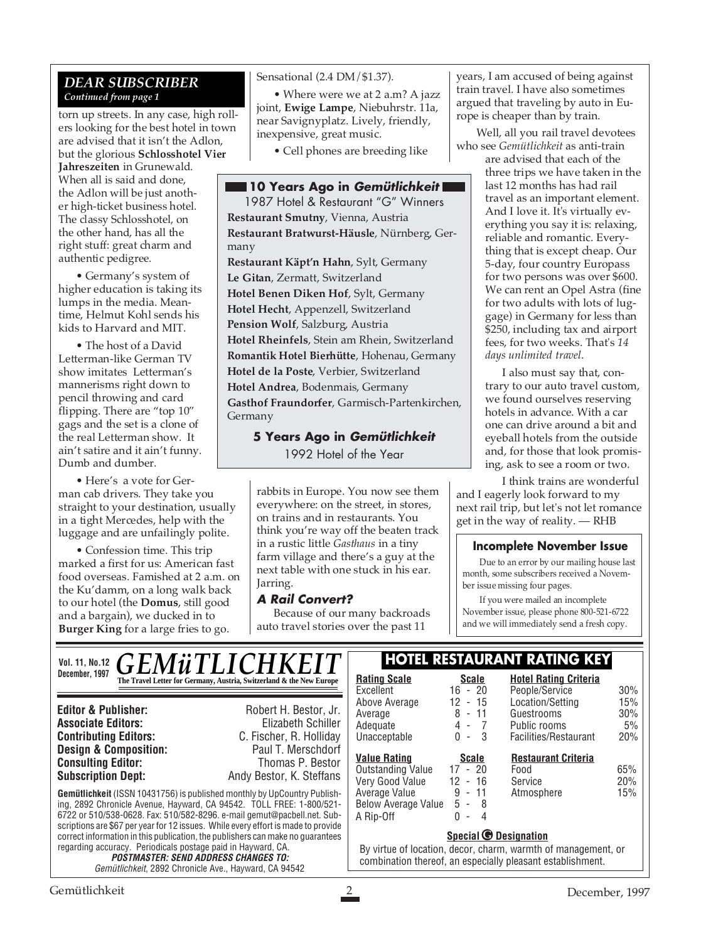#### *DEAR SUBSCRIBER Continued from page 1*

torn up streets. In any case, high rollers looking for the best hotel in town are advised that it isn't the Adlon, but the glorious **Schlosshotel Vier Jahreszeiten** in Grunewald. When all is said and done, the Adlon will be just another high-ticket business hotel. The classy Schlosshotel, on the other hand, has all the right stuff: great charm and authentic pedigree.

• Germany's system of higher education is taking its lumps in the media. Meantime, Helmut Kohl sends his kids to Harvard and MIT.

• The host of a David Letterman-like German TV show imitates Letterman's mannerisms right down to pencil throwing and card flipping. There are "top  $10$ " gags and the set is a clone of the real Letterman show. It ain't satire and it ain't funny. Dumb and dumber.

• Here's a vote for German cab drivers. They take you straight to your destination, usually in a tight Mercedes, help with the luggage and are unfailingly polite.

• Confession time. This trip marked a first for us: American fast food overseas. Famished at 2 a.m. on the Ku'damm, on a long walk back to our hotel (the **Domus**, still good and a bargain), we ducked in to **Burger King** for a large fries to go.

Sensational (2.4 DM/\$1.37).

• Where were we at 2 a.m? A jazz joint, **Ewige Lampe**, Niebuhrstr. 11a, near Savignyplatz. Lively, friendly, inexpensive, great music.

• Cell phones are breeding like

#### **10 Years Ago in Gemütlichkeit**

1987 Hotel & Restaurant "G" Winners **Restaurant Smutny**, Vienna, Austria **Restaurant Bratwurst-Häusle**, Nürnberg, Germany **Restaurant Käpt'n Hahn**, Sylt, Germany **Le Gitan**, Zermatt, Switzerland **Hotel Benen Diken Hof**, Sylt, Germany **Hotel Hecht**, Appenzell, Switzerland **Pension Wolf**, Salzburg, Austria **Hotel Rheinfels**, Stein am Rhein, Switzerland **Romantik Hotel Bierhütte**, Hohenau, Germany **Hotel de la Poste**, Verbier, Switzerland **Hotel Andrea**, Bodenmais, Germany

**Gasthof Fraundorfer**, Garmisch-Partenkirchen, Germany

> **5 Years Ago in Gemütlichkeit** 1992 Hotel of the Year

rabbits in Europe. You now see them everywhere: on the street, in stores, on trains and in restaurants. You think you're way off the beaten track in a rustic little *Gasthaus* in a tiny farm village and there's a guy at the next table with one stuck in his ear. Jarring.

#### **A Rail Convert?**

Because of our many backroads auto travel stories over the past 11

years, I am accused of being against train travel. I have also sometimes argued that traveling by auto in Europe is cheaper than by train.

 Well, all you rail travel devotees who see *Gemütlichkeit* as anti-train

are advised that each of the three trips we have taken in the last 12 months has had rail travel as an important element. And I love it. It's virtually everything you say it is: relaxing, reliable and romantic. Everything that is except cheap. Our 5-day, four country Europass for two persons was over \$600. We can rent an Opel Astra (fine for two adults with lots of luggage) in Germany for less than \$250, including tax and airport fees, for two weeks. That's *14 days unlimited travel*.

I also must say that, contrary to our auto travel custom, we found ourselves reserving hotels in advance. With a car one can drive around a bit and eyeball hotels from the outside and, for those that look promising, ask to see a room or two.

I think trains are wonderful and I eagerly look forward to my next rail trip, but let's not let romance get in the way of reality. — RHB

#### **Incomplete November Issue**

Due to an error by our mailing house last month, some subscribers received a November issue missing four pages.

If you were mailed an incomplete November issue, please phone 800-521-6722 and we will immediately send a fresh copy.

#### **Gemütlichkeit** (ISSN 10431756) is published monthly by UpCountry Publishing, 2892 Chronicle Avenue, Hayward, CA 94542. TOLL FREE: 1-800/521- 6722 or 510/538-0628. Fax: 510/582-8296. e-mail gemut@pacbell.net. Subscriptions are \$67 per year for 12 issues. While every effort is made to provide correct information in this publication, the publishers can make no guarantees regarding accuracy. Periodicals postage paid in Hayward, CA. **POSTMASTER: SEND ADDRESS CHANGES TO: Editor & Publisher:** Robert H. Bestor, Jr. **Associate Editors:** Elizabeth Schiller<br> **Contributing Editors:** C. Fischer, R. Holliday **C. Fischer, R. Holliday Design & Composition:** Paul T. Merschdorf **Consulting Editor:** Thomas P. Bestor **Subscription Dept:** Andy Bestor, K. Steffans Vol. 11, No.12  $GEMWTTLICHKET$   $\left\lceil \frac{1}{2} \right\rceil$ **December, 1997 Rating Scale Rating Scale Scale Rating Scale Rating Scale Scale Scale Rating Scale Scale** Excellent 16 - 20<br>Above Average 12 - 15 Above Average 12 - 15 Average 8 - 11 Adequate 4 - 7<br>Unacceptable 0 - 3 Unacceptable **Hotel Rating Criteria** People/Service 30% Location/Setting 15%<br>Guestrooms 30% Guestrooms Public rooms 5% Facilities/Restaurant 20% **Special <b>***G* Designation By virtue of location, decor, charm, warmth of management, or **<u>Value Rating</u>**<br> **Cutstanding Value** 17 - 20 Outstanding Value 17 - 20<br>Verv Good Value 12 - 16 Very Good Value 12 - 16<br>Average Value 9 - 11 Average Value 9 - 11 Below Average Value 5 - 8  $A$  Rip-Off **Restaurant Criteria** Food 65% Service 20%<br>Atmosphere 15% Atmosphere

Gemütlichkeit, 2892 Chronicle Ave., Hayward, CA 94542

| By virtue of location, decor, charm, warmth of management, or |  |
|---------------------------------------------------------------|--|
| combination thereof, an especially pleasant establishment.    |  |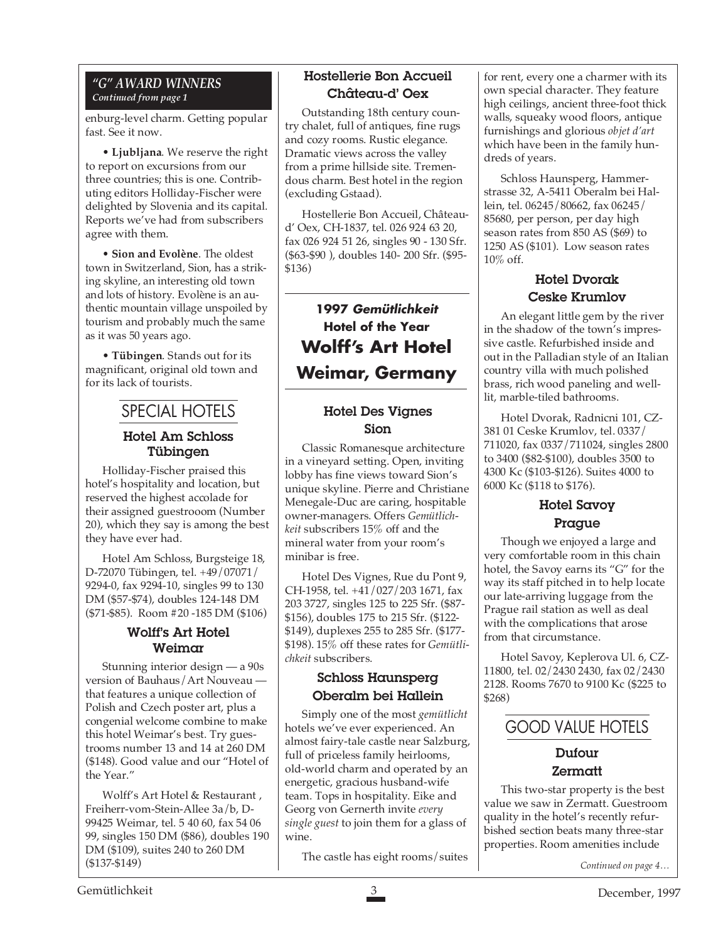#### *"G" AWARD WINNERS Continued from page 1*

enburg-level charm. Getting popular fast. See it now.

• **Ljubljana**. We reserve the right to report on excursions from our three countries; this is one. Contributing editors Holliday-Fischer were delighted by Slovenia and its capital. Reports we've had from subscribers agree with them.

• **Sion and Evolène**. The oldest town in Switzerland, Sion, has a striking skyline, an interesting old town and lots of history. Evolène is an authentic mountain village unspoiled by tourism and probably much the same as it was 50 years ago.

• **Tübingen**. Stands out for its magnificant, original old town and for its lack of tourists.

## SPECIAL HOTELS

#### Hotel Am Schloss Tübingen

Holliday-Fischer praised this hotel's hospitality and location, but reserved the highest accolade for their assigned guestrooom (Number 20), which they say is among the best they have ever had.

Hotel Am Schloss, Burgsteige 18, D-72070 Tübingen, tel. +49/07071/ 9294-0, fax 9294-10, singles 99 to 130 DM (\$57-\$74), doubles 124-148 DM (\$71-\$85). Room #20 -185 DM (\$106)

#### Wolff's Art Hotel Weimar

Stunning interior design — a 90s version of Bauhaus/Art Nouveau that features a unique collection of Polish and Czech poster art, plus a congenial welcome combine to make this hotel Weimar's best. Try guestrooms number 13 and 14 at 260 DM (\$148). Good value and our "Hotel of the Year."

Wolff's Art Hotel & Restaurant , Freiherr-vom-Stein-Allee 3a/b, D-99425 Weimar, tel. 5 40 60, fax 54 06 99, singles 150 DM (\$86), doubles 190 DM (\$109), suites 240 to 260 DM (\$137-\$149)

#### Hostellerie Bon Accueil Château-d' Oex

Outstanding 18th century country chalet, full of antiques, fine rugs and cozy rooms. Rustic elegance. Dramatic views across the valley from a prime hillside site. Tremendous charm. Best hotel in the region (excluding Gstaad).

Hostellerie Bon Accueil, Châteaud' Oex, CH-1837, tel. 026 924 63 20, fax 026 924 51 26, singles 90 - 130 Sfr. (\$63-\$90 ), doubles 140- 200 Sfr. (\$95- \$136)

**1997 Gemütlichkeit Hotel of the Year Wolff's Art Hotel Weimar, Germany**

#### Hotel Des Vignes Sion

Classic Romanesque architecture in a vineyard setting. Open, inviting lobby has fine views toward Sion's unique skyline. Pierre and Christiane Menegale-Duc are caring, hospitable owner-managers. Offers *Gemütlichkeit* subscribers 15% off and the mineral water from your room's minibar is free.

Hotel Des Vignes, Rue du Pont 9, CH-1958, tel. +41/027/203 1671, fax 203 3727, singles 125 to 225 Sfr. (\$87- \$156), doubles 175 to 215 Sfr. (\$122- \$149), duplexes 255 to 285 Sfr. (\$177- \$198). 15% off these rates for *Gemütlichkeit* subscribers.

#### Schloss Haunsperg Oberalm bei Hallein

Simply one of the most *gemütlicht* hotels we've ever experienced. An almost fairy-tale castle near Salzburg, full of priceless family heirlooms, old-world charm and operated by an energetic, gracious husband-wife team. Tops in hospitality. Eike and Georg von Gernerth invite *every single guest* to join them for a glass of wine.

The castle has eight rooms/suites

for rent, every one a charmer with its own special character. They feature high ceilings, ancient three-foot thick walls, squeaky wood floors, antique furnishings and glorious *objet d'art* which have been in the family hundreds of years.

Schloss Haunsperg, Hammerstrasse 32, A-5411 Oberalm bei Hallein, tel. 06245/80662, fax 06245/ 85680, per person, per day high season rates from 850 AS (\$69) to 1250 AS (\$101). Low season rates 10% off.

#### Hotel Dvorak Ceske Krumlov

An elegant little gem by the river in the shadow of the town's impressive castle. Refurbished inside and out in the Palladian style of an Italian country villa with much polished brass, rich wood paneling and welllit, marble-tiled bathrooms.

Hotel Dvorak, Radnicni 101, CZ-381 01 Ceske Krumlov, tel. 0337/ 711020, fax 0337/711024, singles 2800 to 3400 (\$82-\$100), doubles 3500 to 4300 Kc (\$103-\$126). Suites 4000 to 6000 Kc (\$118 to \$176).

#### Hotel Savoy Prague

Though we enjoyed a large and very comfortable room in this chain hotel, the Savoy earns its "G" for the way its staff pitched in to help locate our late-arriving luggage from the Prague rail station as well as deal with the complications that arose from that circumstance.

Hotel Savoy, Keplerova Ul. 6, CZ-11800, tel. 02/2430 2430, fax 02/2430 2128. Rooms 7670 to 9100 Kc (\$225 to \$268)



## Dufour Zermatt

This two-star property is the best value we saw in Zermatt. Guestroom quality in the hotel's recently refurbished section beats many three-star properties. Room amenities include

*Continued on page 4…*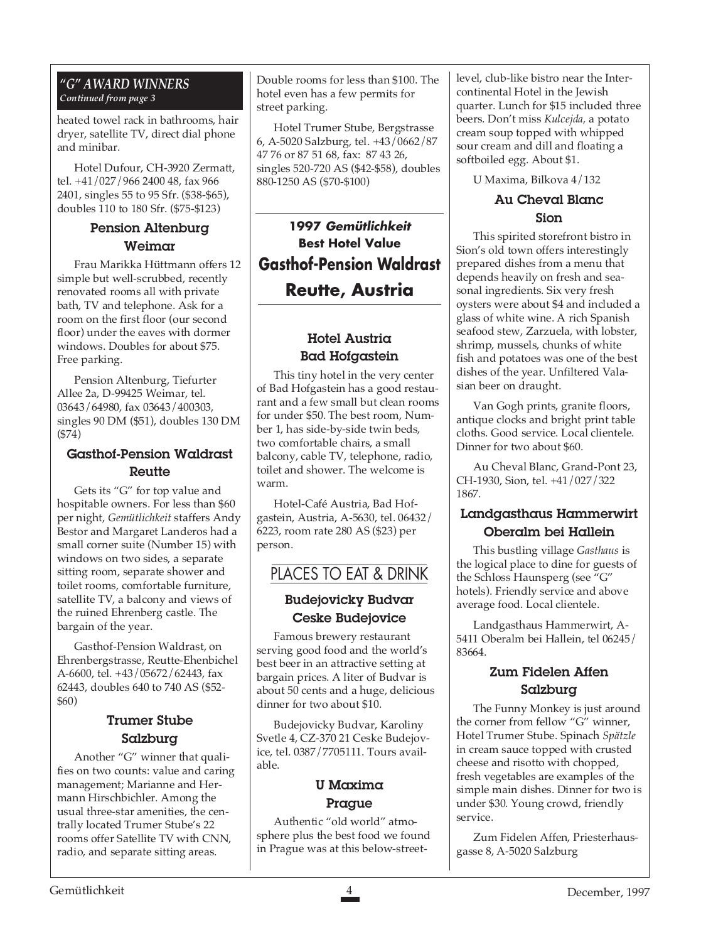#### *"G" AWARD WINNERS Continued from page 3*

heated towel rack in bathrooms, hair dryer, satellite TV, direct dial phone and minibar.

Hotel Dufour, CH-3920 Zermatt, tel. +41/027/966 2400 48, fax 966 2401, singles 55 to 95 Sfr. (\$38-\$65), doubles 110 to 180 Sfr. (\$75-\$123)

#### Pension Altenburg Weimar

Frau Marikka Hüttmann offers 12 simple but well-scrubbed, recently renovated rooms all with private bath, TV and telephone. Ask for a room on the first floor (our second floor) under the eaves with dormer windows. Doubles for about \$75. Free parking.

Pension Altenburg, Tiefurter Allee 2a, D-99425 Weimar, tel. 03643/64980, fax 03643/400303, singles 90 DM (\$51), doubles 130 DM (\$74)

#### Gasthof-Pension Waldrast **Reutte**

Gets its "G" for top value and hospitable owners. For less than \$60 per night, *Gemütlichkeit* staffers Andy Bestor and Margaret Landeros had a small corner suite (Number 15) with windows on two sides, a separate sitting room, separate shower and toilet rooms, comfortable furniture, satellite TV, a balcony and views of the ruined Ehrenberg castle. The bargain of the year.

Gasthof-Pension Waldrast, on Ehrenbergstrasse, Reutte-Ehenbichel A-6600, tel. +43/05672/62443, fax 62443, doubles 640 to 740 AS (\$52- \$60)

#### Trumer Stube Salzburg

Another "G" winner that qualifies on two counts: value and caring management; Marianne and Hermann Hirschbichler. Among the usual three-star amenities, the centrally located Trumer Stube's 22 rooms offer Satellite TV with CNN, radio, and separate sitting areas.

Double rooms for less than \$100. The hotel even has a few permits for street parking.

Hotel Trumer Stube, Bergstrasse 6, A-5020 Salzburg, tel. +43/0662/87 47 76 or 87 51 68, fax: 87 43 26, singles 520-720 AS (\$42-\$58), doubles 880-1250 AS (\$70-\$100)

**1997 Gemütlichkeit Best Hotel Value Gasthof-Pension Waldrast Reutte, Austria**

#### Hotel Austria Bad Hofgastein

This tiny hotel in the very center of Bad Hofgastein has a good restaurant and a few small but clean rooms for under \$50. The best room, Number 1, has side-by-side twin beds, two comfortable chairs, a small balcony, cable TV, telephone, radio, toilet and shower. The welcome is warm.

Hotel-Café Austria, Bad Hofgastein, Austria, A-5630, tel. 06432/ 6223, room rate 280 AS (\$23) per person.

## PLACES TO EAT & DRINK

#### Budejovicky Budvar Ceske Budejovice

Famous brewery restaurant serving good food and the world's best beer in an attractive setting at bargain prices. A liter of Budvar is about 50 cents and a huge, delicious dinner for two about \$10.

Budejovicky Budvar, Karoliny Svetle 4, CZ-370 21 Ceske Budejovice, tel. 0387/7705111. Tours available.

#### U Maxima Prague

Authentic "old world" atmosphere plus the best food we found in Prague was at this below-streetlevel, club-like bistro near the Intercontinental Hotel in the Jewish quarter. Lunch for \$15 included three beers. Don't miss *Kulcejda,* a potato cream soup topped with whipped sour cream and dill and floating a softboiled egg. About \$1.

U Maxima, Bilkova 4/132

#### Au Cheval Blanc Sion

This spirited storefront bistro in Sion's old town offers interestingly prepared dishes from a menu that depends heavily on fresh and seasonal ingredients. Six very fresh oysters were about \$4 and included a glass of white wine. A rich Spanish seafood stew, Zarzuela, with lobster, shrimp, mussels, chunks of white fish and potatoes was one of the best dishes of the year. Unfiltered Valasian beer on draught.

Van Gogh prints, granite floors, antique clocks and bright print table cloths. Good service. Local clientele. Dinner for two about \$60.

Au Cheval Blanc, Grand-Pont 23, CH-1930, Sion, tel. +41/027/322 1867.

#### Landgasthaus Hammerwirt Oberalm bei Hallein

This bustling village *Gasthaus* is the logical place to dine for guests of the Schloss Haunsperg (see "G" hotels). Friendly service and above average food. Local clientele.

Landgasthaus Hammerwirt, A-5411 Oberalm bei Hallein, tel 06245/ 83664.

#### Zum Fidelen Affen Salzburg

The Funny Monkey is just around the corner from fellow "G" winner, Hotel Trumer Stube. Spinach *Spätzle* in cream sauce topped with crusted cheese and risotto with chopped, fresh vegetables are examples of the simple main dishes. Dinner for two is under \$30. Young crowd, friendly service.

Zum Fidelen Affen, Priesterhausgasse 8, A-5020 Salzburg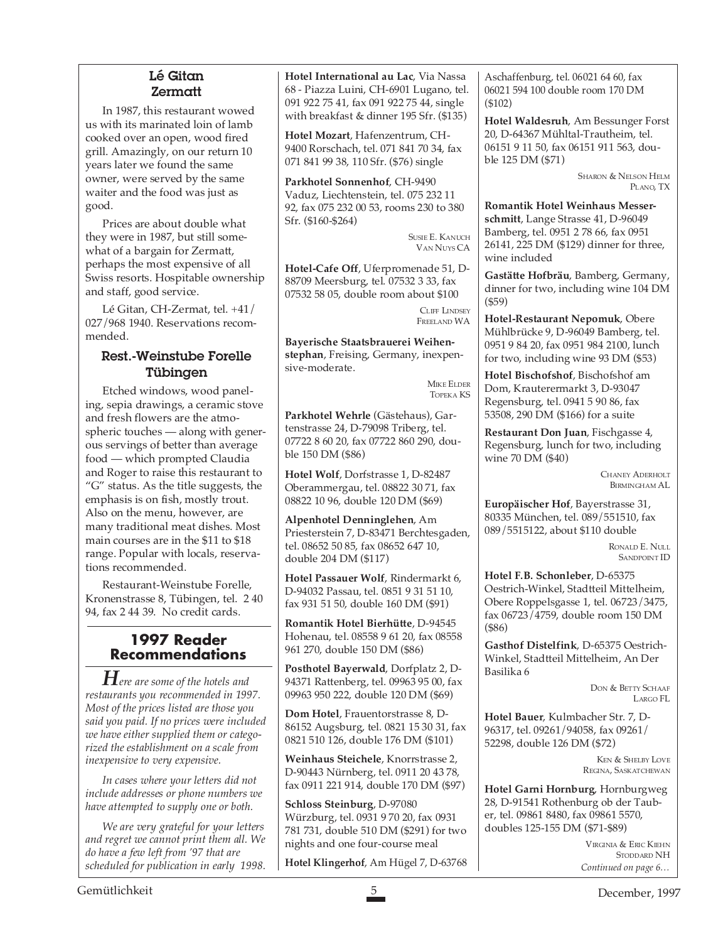#### Lé Gitan Zermatt

In 1987, this restaurant wowed us with its marinated loin of lamb cooked over an open, wood fired grill. Amazingly, on our return 10 years later we found the same owner, were served by the same waiter and the food was just as good.

Prices are about double what they were in 1987, but still somewhat of a bargain for Zermatt, perhaps the most expensive of all Swiss resorts. Hospitable ownership and staff, good service.

Lé Gitan, CH-Zermat, tel. +41/ 027/968 1940. Reservations recommended.

#### Rest.-Weinstube Forelle Tübingen

Etched windows, wood paneling, sepia drawings, a ceramic stove and fresh flowers are the atmospheric touches — along with generous servings of better than average food — which prompted Claudia and Roger to raise this restaurant to "G" status. As the title suggests, the emphasis is on fish, mostly trout. Also on the menu, however, are many traditional meat dishes. Most main courses are in the \$11 to \$18 range. Popular with locals, reservations recommended.

Restaurant-Weinstube Forelle, Kronenstrasse 8, Tübingen, tel. 2 40 94, fax 2 44 39. No credit cards.

#### **1997 Reader Recommendations**

*Here are some of the hotels and restaurants you recommended in 1997. Most of the prices listed are those you said you paid. If no prices were included we have either supplied them or categorized the establishment on a scale from inexpensive to very expensive.*

*In cases where your letters did not include addresses or phone numbers we have attempted to supply one or both.*

*We are very grateful for your letters and regret we cannot print them all. We do have a few left from '97 that are scheduled for publication in early 1998.*

**Hotel International au Lac**, Via Nassa 68 - Piazza Luini, CH-6901 Lugano, tel. 091 922 75 41, fax 091 922 75 44, single with breakfast & dinner 195 Sfr. (\$135)

**Hotel Mozart**, Hafenzentrum, CH-9400 Rorschach, tel. 071 841 70 34, fax 071 841 99 38, 110 Sfr. (\$76) single

**Parkhotel Sonnenhof**, CH-9490 Vaduz, Liechtenstein, tel. 075 232 11 92, fax 075 232 00 53, rooms 230 to 380 Sfr. (\$160-\$264)

> SUSIE E. KANUCH VAN NUYS CA

**Hotel-Cafe Off**, Uferpromenade 51, D-88709 Meersburg, tel. 07532 3 33, fax 07532 58 05, double room about \$100

> CLIFF LINDSEY FREELAND WA

**Bayerische Staatsbrauerei Weihenstephan**, Freising, Germany, inexpensive-moderate.

> MIKE ELDER TOPEKA KS

**Parkhotel Wehrle** (Gästehaus), Gartenstrasse 24, D-79098 Triberg, tel. 07722 8 60 20, fax 07722 860 290, double 150 DM (\$86)

**Hotel Wolf**, Dorfstrasse 1, D-82487 Oberammergau, tel. 08822 30 71, fax 08822 10 96, double 120 DM (\$69)

**Alpenhotel Denninglehen**, Am Priesterstein 7, D-83471 Berchtesgaden, tel. 08652 50 85, fax 08652 647 10, double 204 DM (\$117)

**Hotel Passauer Wolf**, Rindermarkt 6, D-94032 Passau, tel. 0851 9 31 51 10, fax 931 51 50, double 160 DM (\$91)

**Romantik Hotel Bierhütte**, D-94545 Hohenau, tel. 08558 9 61 20, fax 08558 961 270, double 150 DM (\$86)

**Posthotel Bayerwald**, Dorfplatz 2, D-94371 Rattenberg, tel. 09963 95 00, fax 09963 950 222, double 120 DM (\$69)

**Dom Hotel**, Frauentorstrasse 8, D-86152 Augsburg, tel. 0821 15 30 31, fax 0821 510 126, double 176 DM (\$101)

**Weinhaus Steichele**, Knorrstrasse 2, D-90443 Nürnberg, tel. 0911 20 43 78, fax 0911 221 914, double 170 DM (\$97)

**Schloss Steinburg**, D-97080 Würzburg, tel. 0931 9 70 20, fax 0931 781 731, double 510 DM (\$291) for two nights and one four-course meal

**Hotel Klingerhof**, Am Hügel 7, D-63768

Aschaffenburg, tel. 06021 64 60, fax 06021 594 100 double room 170 DM (\$102)

**Hotel Waldesruh**, Am Bessunger Forst 20, D-64367 Mühltal-Trautheim, tel. 06151 9 11 50, fax 06151 911 563, double 125 DM (\$71)

> SHARON & NELSON HELM PLANO, TX

**Romantik Hotel Weinhaus Messerschmitt**, Lange Strasse 41, D-96049 Bamberg, tel. 0951 2 78 66, fax 0951 26141, 225 DM (\$129) dinner for three, wine included

**Gastätte Hofbräu**, Bamberg, Germany, dinner for two, including wine 104 DM (\$59)

**Hotel-Restaurant Nepomuk**, Obere Mühlbrücke 9, D-96049 Bamberg, tel. 0951 9 84 20, fax 0951 984 2100, lunch for two, including wine 93 DM (\$53)

**Hotel Bischofshof**, Bischofshof am Dom, Krauterermarkt 3, D-93047 Regensburg, tel. 0941 5 90 86, fax 53508, 290 DM (\$166) for a suite

**Restaurant Don Juan**, Fischgasse 4, Regensburg, lunch for two, including wine 70 DM (\$40)

> CHANEY ADERHOLT BIRMINGHAM AL

**Europäischer Hof**, Bayerstrasse 31, 80335 München, tel. 089/551510, fax 089/5515122, about \$110 double

> RONALD E. NULL SANDPOINT ID

**Hotel F.B. Schonleber**, D-65375 Oestrich-Winkel, Stadtteil Mittelheim, Obere Roppelsgasse 1, tel. 06723/3475, fax 06723/4759, double room 150 DM (\$86)

**Gasthof Distelfink**, D-65375 Oestrich-Winkel, Stadtteil Mittelheim, An Der Basilika 6

> DON & BETTY SCHAAF LARGO FL

**Hotel Bauer**, Kulmbacher Str. 7, D-96317, tel. 09261/94058, fax 09261/ 52298, double 126 DM (\$72)

> KEN & SHELBY LOVE REGINA, SASKATCHEWAN

**Hotel Garni Hornburg**, Hornburgweg 28, D-91541 Rothenburg ob der Tauber, tel. 09861 8480, fax 09861 5570, doubles 125-155 DM (\$71-\$89)

> *Continued on page 6…* VIRGINIA & ERIC KIEHN STODDARD NH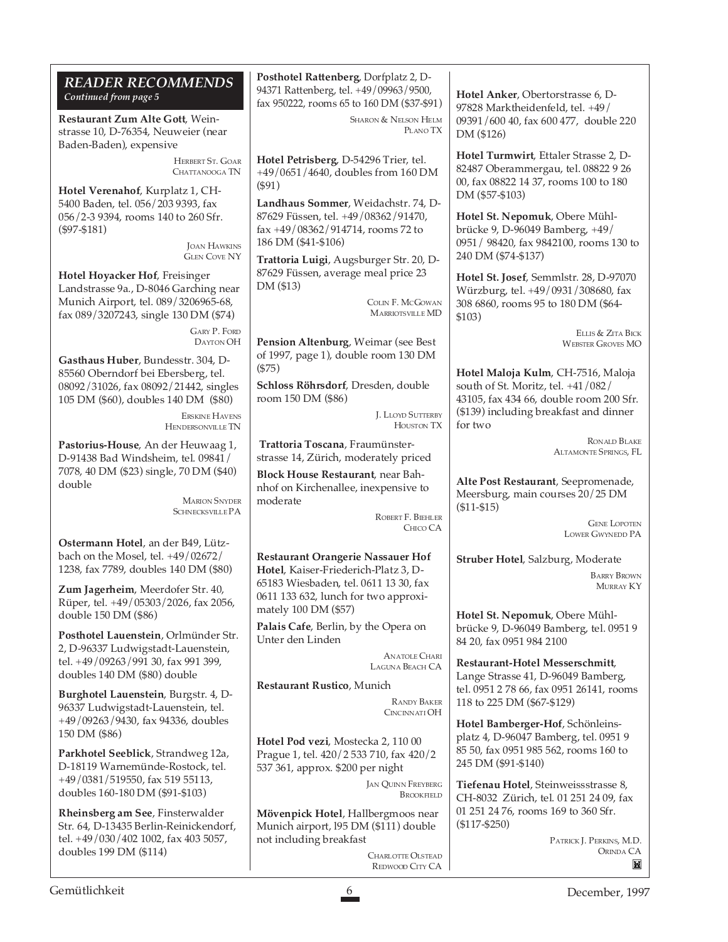| <b>READER RECOMMENDS</b> |  |
|--------------------------|--|
| Continued from page 5    |  |

**Restaurant Zum Alte Gott**, Weinstrasse 10, D-76354, Neuweier (near Baden-Baden), expensive

> HERBERT ST. GOAR CHATTANOOGA TN

**Hotel Verenahof**, Kurplatz 1, CH-5400 Baden, tel. 056/203 9393, fax 056/2-3 9394, rooms 140 to 260 Sfr. (\$97-\$181)

> JOAN HAWKINS GLEN COVE NY

**Hotel Hoyacker Hof**, Freisinger Landstrasse 9a., D-8046 Garching near Munich Airport, tel. 089/3206965-68, fax 089/3207243, single 130 DM (\$74)

> GARY P. FORD DAYTON OH

**Gasthaus Huber**, Bundesstr. 304, D-85560 Oberndorf bei Ebersberg, tel. 08092/31026, fax 08092/21442, singles 105 DM (\$60), doubles 140 DM (\$80)

> ERSKINE HAVENS HENDERSONVILLE TN

**Pastorius-House**, An der Heuwaag 1, D-91438 Bad Windsheim, tel. 09841/ 7078, 40 DM (\$23) single, 70 DM (\$40) double

> MARION SNYDER SCHNECKSVILLE PA

**Ostermann Hotel**, an der B49, Lützbach on the Mosel, tel. +49/02672/ 1238, fax 7789, doubles 140 DM (\$80)

**Zum Jagerheim**, Meerdofer Str. 40, Rüper, tel. +49/05303/2026, fax 2056, double 150 DM (\$86)

**Posthotel Lauenstein**, Orlmünder Str. 2, D-96337 Ludwigstadt-Lauenstein, tel. +49/09263/991 30, fax 991 399, doubles 140 DM (\$80) double

**Burghotel Lauenstein**, Burgstr. 4, D-96337 Ludwigstadt-Lauenstein, tel. +49/09263/9430, fax 94336, doubles 150 DM (\$86)

**Parkhotel Seeblick**, Strandweg 12a, D-18119 Warnemünde-Rostock, tel. +49/0381/519550, fax 519 55113, doubles 160-180 DM (\$91-\$103)

**Rheinsberg am See**, Finsterwalder Str. 64, D-13435 Berlin-Reinickendorf, tel. +49/030/402 1002, fax 403 5057, doubles 199 DM (\$114)

**Posthotel Rattenberg**, Dorfplatz 2, D-94371 Rattenberg, tel. +49/09963/9500, fax 950222, rooms 65 to 160 DM (\$37-\$91)

> SHARON & NELSON HELM PLANO TX

**Hotel Petrisberg**, D-54296 Trier, tel. +49/0651/4640, doubles from 160 DM (\$91)

**Landhaus Sommer**, Weidachstr. 74, D-87629 Füssen, tel. +49/08362/91470, fax +49/08362/914714, rooms 72 to 186 DM (\$41-\$106)

**Trattoria Luigi**, Augsburger Str. 20, D-87629 Füssen, average meal price 23 DM (\$13)

> COLIN F. MCGOWAN MARRIOTSVILLE MD

**Pension Altenburg**, Weimar (see Best of 1997, page 1), double room 130 DM (\$75)

**Schloss Röhrsdorf**, Dresden, double room 150 DM (\$86)

> J. LLOYD SUTTERBY HOUSTON TX

**Trattoria Toscana**, Fraumünsterstrasse 14, Zürich, moderately priced

**Block House Restaurant**, near Bahnhof on Kirchenallee, inexpensive to moderate

ROBERT F. BIEHLER CHICO CA

**Restaurant Orangerie Nassauer Hof Hotel**, Kaiser-Friederich-Platz 3, D-65183 Wiesbaden, tel. 0611 13 30, fax 0611 133 632, lunch for two approximately 100 DM (\$57)

**Palais Cafe**, Berlin, by the Opera on Unter den Linden

> ANATOLE CHARI LAGUNA BEACH CA

**Restaurant Rustico**, Munich

RANDY BAKER CINCINNATI OH

**Hotel Pod vezi**, Mostecka 2, 110 00 Prague 1, tel. 420/2 533 710, fax 420/2 537 361, approx. \$200 per night

> JAN QUINN FREYBERG **BROOKFIELD**

**Mövenpick Hotel**, Hallbergmoos near Munich airport, l95 DM (\$111) double not including breakfast

CHARLOTTE OLSTEAD REDWOOD CITY CA **Hotel Anker**, Obertorstrasse 6, D-97828 Marktheidenfeld, tel. +49/ 09391/600 40, fax 600 477, double 220 DM (\$126)

**Hotel Turmwirt**, Ettaler Strasse 2, D-82487 Oberammergau, tel. 08822 9 26 00, fax 08822 14 37, rooms 100 to 180 DM (\$57-\$103)

**Hotel St. Nepomuk**, Obere Mühlbrücke 9, D-96049 Bamberg, +49/ 0951/ 98420, fax 9842100, rooms 130 to 240 DM (\$74-\$137)

**Hotel St. Josef**, Semmlstr. 28, D-97070 Würzburg, tel. +49/0931/308680, fax 308 6860, rooms 95 to 180 DM (\$64- \$103)

> ELLIS & ZITA BICK WEBSTER GROVES MO

**Hotel Maloja Kulm**, CH-7516, Maloja south of St. Moritz, tel. +41/082/ 43105, fax 434 66, double room 200 Sfr. (\$139) including breakfast and dinner for two

> RONALD BLAKE ALTAMONTE SPRINGS, FL

**Alte Post Restaurant**, Seepromenade, Meersburg, main courses 20/25 DM (\$11-\$15)

> GENE LOPOTEN LOWER GWYNEDD PA

**Struber Hotel**, Salzburg, Moderate

BARRY BROWN MURRAY KY

**Hotel St. Nepomuk**, Obere Mühlbrücke 9, D-96049 Bamberg, tel. 0951 9 84 20, fax 0951 984 2100

**Restaurant-Hotel Messerschmitt**, Lange Strasse 41, D-96049 Bamberg, tel. 0951 2 78 66, fax 0951 26141, rooms 118 to 225 DM (\$67-\$129)

**Hotel Bamberger-Hof**, Schönleinsplatz 4, D-96047 Bamberg, tel. 0951 9 85 50, fax 0951 985 562, rooms 160 to 245 DM (\$91-\$140)

**Tiefenau Hotel**, Steinweissstrasse 8, CH-8032 Zürich, tel. 01 251 24 09, fax 01 251 24 76, rooms 169 to 360 Sfr. (\$117-\$250)

> PATRICK J. PERKINS, M.D. ORINDA CA $\blacksquare$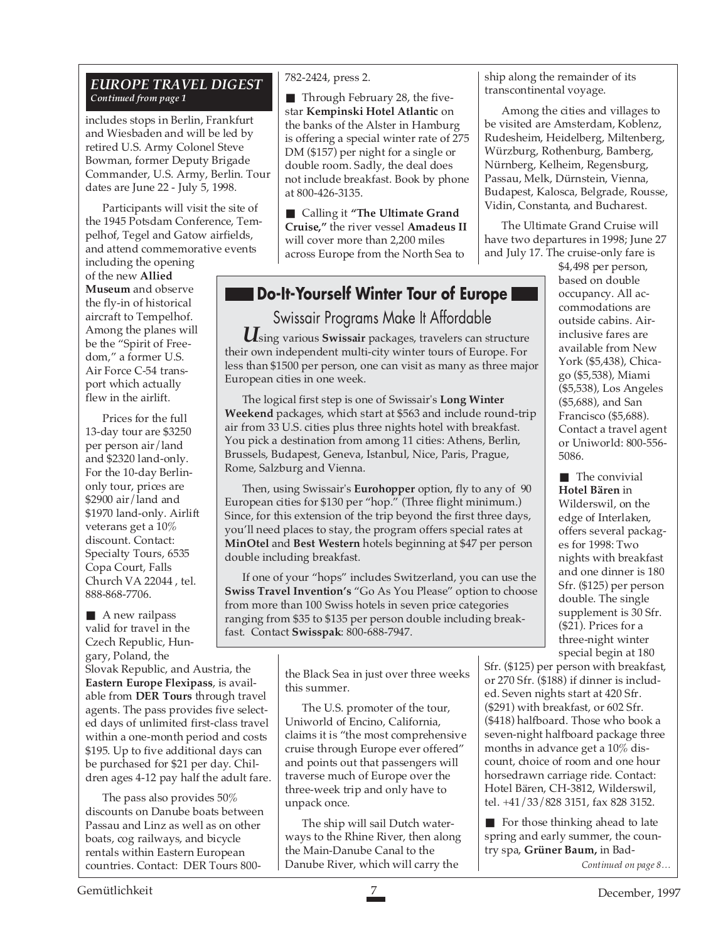#### *EUROPE TRAVEL DIGEST Continued from page 1*

includes stops in Berlin, Frankfurt and Wiesbaden and will be led by retired U.S. Army Colonel Steve Bowman, former Deputy Brigade Commander, U.S. Army, Berlin. Tour dates are June 22 - July 5, 1998.

Participants will visit the site of the 1945 Potsdam Conference, Tempelhof, Tegel and Gatow airfields, and attend commemorative events

including the opening of the new **Allied Museum** and observe the fly-in of historical aircraft to Tempelhof. Among the planes will be the "Spirit of Freedom," a former U.S. Air Force C-54 transport which actually flew in the airlift.

Prices for the full 13-day tour are \$3250 per person air/land and \$2320 land-only. For the 10-day Berlinonly tour, prices are \$2900 air/land and \$1970 land-only. Airlift veterans get a 10% discount. Contact: Specialty Tours, 6535 Copa Court, Falls Church VA 22044 , tel. 888-868-7706.

■ A new railpass valid for travel in the Czech Republic, Hungary, Poland, the

Slovak Republic, and Austria, the **Eastern Europe Flexipass**, is available from **DER Tours** through travel agents. The pass provides five selected days of unlimited first-class travel within a one-month period and costs \$195. Up to five additional days can be purchased for \$21 per day. Children ages 4-12 pay half the adult fare.

The pass also provides 50% discounts on Danube boats between Passau and Linz as well as on other boats, cog railways, and bicycle rentals within Eastern European countries. Contact: DER Tours 800-

#### 782-2424, press 2.

■ Through February 28, the fivestar **Kempinski Hotel Atlantic** on the banks of the Alster in Hamburg is offering a special winter rate of 275 DM (\$157) per night for a single or double room. Sadly, the deal does not include breakfast. Book by phone at 800-426-3135.

■ Calling it "The Ultimate Grand **Cruise,"** the river vessel **Amadeus II** will cover more than 2,200 miles across Europe from the North Sea to

## **Do-It-Yourself Winter Tour of Europe**

## Swissair Programs Make It Affordable

*U*sing various **Swissair** packages, travelers can structure their own independent multi-city winter tours of Europe. For less than \$1500 per person, one can visit as many as three major European cities in one week.

The logical first step is one of Swissair's **Long Winter Weekend** packages, which start at \$563 and include round-trip air from 33 U.S. cities plus three nights hotel with breakfast. You pick a destination from among 11 cities: Athens, Berlin, Brussels, Budapest, Geneva, Istanbul, Nice, Paris, Prague, Rome, Salzburg and Vienna.

Then, using Swissair's **Eurohopper** option, fly to any of 90 European cities for \$130 per "hop." (Three flight minimum.) Since, for this extension of the trip beyond the first three days, you'll need places to stay, the program offers special rates at **MinOtel** and **Best Western** hotels beginning at \$47 per person double including breakfast.

If one of your "hops" includes Switzerland, you can use the **Swiss Travel Invention's** "Go As You Please" option to choose from more than 100 Swiss hotels in seven price categories ranging from \$35 to \$135 per person double including breakfast. Contact **Swisspak**: 800-688-7947.

> the Black Sea in just over three weeks this summer.

The U.S. promoter of the tour, Uniworld of Encino, California, claims it is "the most comprehensive cruise through Europe ever offered" and points out that passengers will traverse much of Europe over the three-week trip and only have to unpack once.

The ship will sail Dutch waterways to the Rhine River, then along the Main-Danube Canal to the Danube River, which will carry the

ship along the remainder of its transcontinental voyage.

Among the cities and villages to be visited are Amsterdam, Koblenz, Rudesheim, Heidelberg, Miltenberg, Würzburg, Rothenburg, Bamberg, Nürnberg, Kelheim, Regensburg, Passau, Melk, Dürnstein, Vienna, Budapest, Kalosca, Belgrade, Rousse, Vidin, Constanta, and Bucharest.

The Ultimate Grand Cruise will have two departures in 1998; June 27 and July 17. The cruise-only fare is

> \$4,498 per person, based on double occupancy. All accommodations are outside cabins. Airinclusive fares are available from New York (\$5,438), Chicago (\$5,538), Miami (\$5,538), Los Angeles (\$5,688), and San Francisco (\$5,688). Contact a travel agent or Uniworld: 800-556- 5086.

■ The convivial **Hotel Bären** in Wilderswil, on the edge of Interlaken, offers several packages for 1998: Two nights with breakfast and one dinner is 180 Sfr. (\$125) per person double. The single supplement is 30 Sfr. (\$21). Prices for a three-night winter special begin at 180

Sfr. (\$125) per person with breakfast, or 270 Sfr. (\$188) if dinner is included. Seven nights start at 420 Sfr. (\$291) with breakfast, or 602 Sfr. (\$418) halfboard. Those who book a seven-night halfboard package three months in advance get a 10% discount, choice of room and one hour horsedrawn carriage ride. Contact: Hotel Bären, CH-3812, Wilderswil, tel. +41/33/828 3151, fax 828 3152.

■ For those thinking ahead to late spring and early summer, the country spa, **Grüner Baum,** in Bad-

*Continued on page 8…*